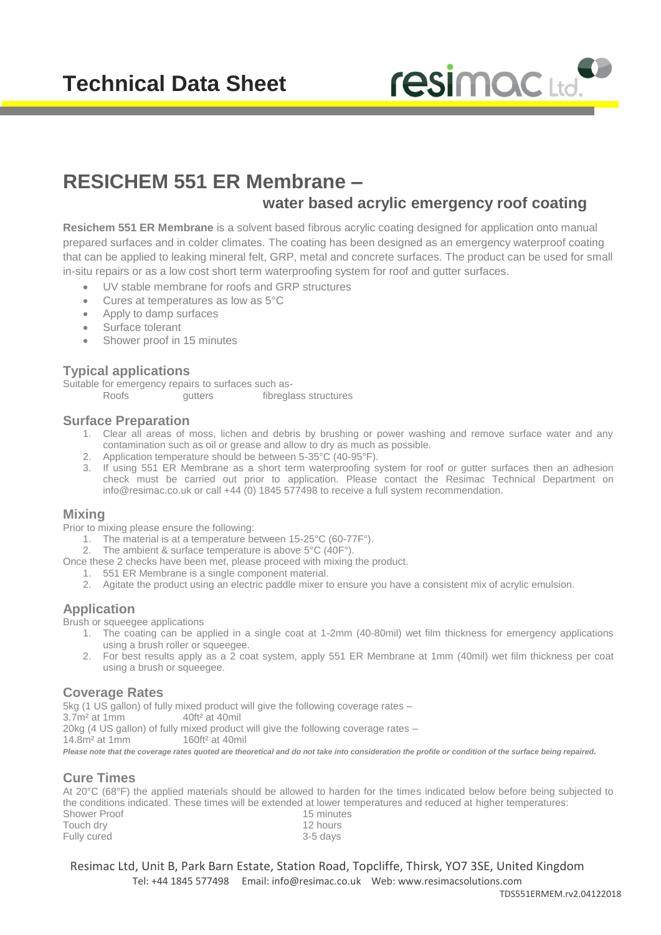# **Technical Data Sheet**



# **RESICHEM 551 ER Membrane – water based acrylic emergency roof coating**

**Resichem 551 ER Membrane** is a solvent based fibrous acrylic coating designed for application onto manual prepared surfaces and in colder climates. The coating has been designed as an emergency waterproof coating that can be applied to leaking mineral felt, GRP, metal and concrete surfaces. The product can be used for small in-situ repairs or as a low cost short term waterproofing system for roof and gutter surfaces.

- UV stable membrane for roofs and GRP structures
- Cures at temperatures as low as 5°C
- Apply to damp surfaces
- Surface tolerant
- Shower proof in 15 minutes

#### **Typical applications**

Suitable for emergency repairs to surfaces such as-<br>Roofs quitters fibregla gutters fibreglass structures

#### **Surface Preparation**

- 1. Clear all areas of moss, lichen and debris by brushing or power washing and remove surface water and any contamination such as oil or grease and allow to dry as much as possible.
- 2. Application temperature should be between 5-35°C (40-95°F).
- 3. If using 551 ER Membrane as a short term waterproofing system for roof or gutter surfaces then an adhesion check must be carried out prior to application. Please contact the Resimac Technical Department on [info@resimac.co.uk](mailto:info@resimac.co.uk) or call +44 (0) 1845 577498 to receive a full system recommendation.

#### **Mixing**

Prior to mixing please ensure the following:

- 1. The material is at a temperature between 15-25°C (60-77F°).
- 2. The ambient & surface temperature is above 5°C (40F°).
- Once these 2 checks have been met, please proceed with mixing the product.
	- 1. 551 ER Membrane is a single component material.
	- 2. Agitate the product using an electric paddle mixer to ensure you have a consistent mix of acrylic emulsion.

#### **Application**

Brush or squeegee applications

- 1. The coating can be applied in a single coat at 1-2mm (40-80mil) wet film thickness for emergency applications using a brush roller or squeegee.
- 2. For best results apply as a 2 coat system, apply 551 ER Membrane at 1mm (40mil) wet film thickness per coat using a brush or squeegee.

#### **Coverage Rates**

5kg (1 US gallon) of fully mixed product will give the following coverage rates – 3.7m² at 1mm 40ft² at 40mil 20kg (4 US gallon) of fully mixed product will give the following coverage rates – 14.8m² at 1mm 160ft² at 40mil

Please note that the coverage rates quoted are theoretical and do not take into consideration the profile or condition of the surface being repaired.

#### **Cure Times**

At 20°C (68°F) the applied materials should be allowed to harden for the times indicated below before being subjected to the conditions indicated. These times will be extended at lower temperatures and reduced at higher temperatures:

| Shower Proof | 15 minutes |
|--------------|------------|
| Touch dry    | 12 hours   |
| Fully cured  | 3-5 days   |

Resimac Ltd, Unit B, Park Barn Estate, Station Road, Topcliffe, Thirsk, YO7 3SE, United Kingdom Tel: +44 1845 577498 Email: [info@resimac.co.uk](mailto:info@resimac.co.uk) Web: www.resimacsolutions.com